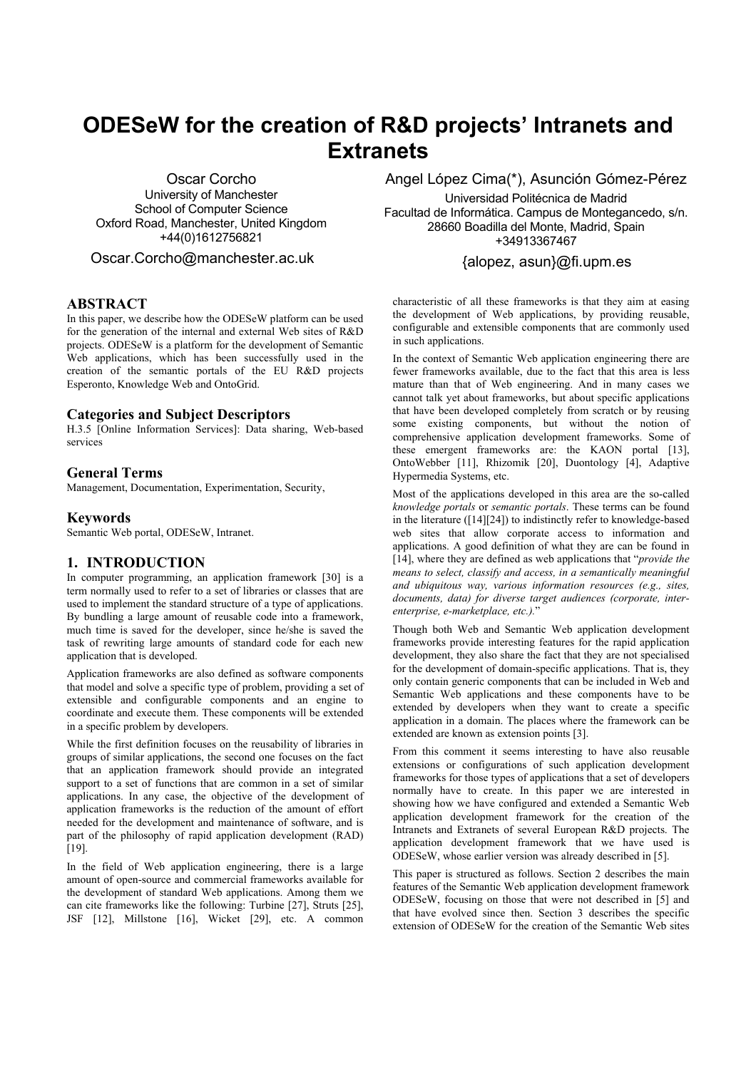# **ODESeW for the creation of R&D projects' Intranets and Extranets**

Oscar Corcho University of Manchester School of Computer Science Oxford Road, Manchester, United Kingdom +44(0)1612756821

Oscar.Corcho@manchester.ac.uk

## **ABSTRACT**

In this paper, we describe how the ODESeW platform can be used for the generation of the internal and external Web sites of R&D projects. ODESeW is a platform for the development of Semantic Web applications, which has been successfully used in the creation of the semantic portals of the EU R&D projects Esperonto, Knowledge Web and OntoGrid.

#### **Categories and Subject Descriptors**

H.3.5 [Online Information Services]: Data sharing, Web-based services

#### **General Terms**

Management, Documentation, Experimentation, Security,

#### **Keywords**

Semantic Web portal, ODESeW, Intranet.

## **1. INTRODUCTION**

In computer programming, an application framework [30] is a term normally used to refer to a set of libraries or classes that are used to implement the standard structure of a type of applications. By bundling a large amount of reusable code into a framework, much time is saved for the developer, since he/she is saved the task of rewriting large amounts of standard code for each new application that is developed.

Application frameworks are also defined as software components that model and solve a specific type of problem, providing a set of extensible and configurable components and an engine to coordinate and execute them. These components will be extended in a specific problem by developers.

While the first definition focuses on the reusability of libraries in groups of similar applications, the second one focuses on the fact that an application framework should provide an integrated support to a set of functions that are common in a set of similar applications. In any case, the objective of the development of application frameworks is the reduction of the amount of effort needed for the development and maintenance of software, and is part of the philosophy of rapid application development (RAD) [19].

In the field of Web application engineering, there is a large amount of open-source and commercial frameworks available for the development of standard Web applications. Among them we can cite frameworks like the following: Turbine [27], Struts [25], JSF [12], Millstone [16], Wicket [29], etc. A common Angel López Cima(\*), Asunción Gómez-Pérez Universidad Politécnica de Madrid Facultad de Informática. Campus de Montegancedo, s/n. 28660 Boadilla del Monte, Madrid, Spain +34913367467

## {alopez, asun}@fi.upm.es

characteristic of all these frameworks is that they aim at easing the development of Web applications, by providing reusable, configurable and extensible components that are commonly used in such applications.

In the context of Semantic Web application engineering there are fewer frameworks available, due to the fact that this area is less mature than that of Web engineering. And in many cases we cannot talk yet about frameworks, but about specific applications that have been developed completely from scratch or by reusing some existing components, but without the notion of comprehensive application development frameworks. Some of these emergent frameworks are: the KAON portal [13], OntoWebber [11], Rhizomik [20], Duontology [4], Adaptive Hypermedia Systems, etc.

Most of the applications developed in this area are the so-called *knowledge portals* or *semantic portals*. These terms can be found in the literature ([14][24]) to indistinctly refer to knowledge-based web sites that allow corporate access to information and applications. A good definition of what they are can be found in [14], where they are defined as web applications that "*provide the means to select, classify and access, in a semantically meaningful and ubiquitous way, various information resources (e.g., sites, documents, data) for diverse target audiences (corporate, interenterprise, e-marketplace, etc.).*"

Though both Web and Semantic Web application development frameworks provide interesting features for the rapid application development, they also share the fact that they are not specialised for the development of domain-specific applications. That is, they only contain generic components that can be included in Web and Semantic Web applications and these components have to be extended by developers when they want to create a specific application in a domain. The places where the framework can be extended are known as extension points [3].

From this comment it seems interesting to have also reusable extensions or configurations of such application development frameworks for those types of applications that a set of developers normally have to create. In this paper we are interested in showing how we have configured and extended a Semantic Web application development framework for the creation of the Intranets and Extranets of several European R&D projects. The application development framework that we have used is ODESeW, whose earlier version was already described in [5].

This paper is structured as follows. Section 2 describes the main features of the Semantic Web application development framework ODESeW, focusing on those that were not described in [5] and that have evolved since then. Section 3 describes the specific extension of ODESeW for the creation of the Semantic Web sites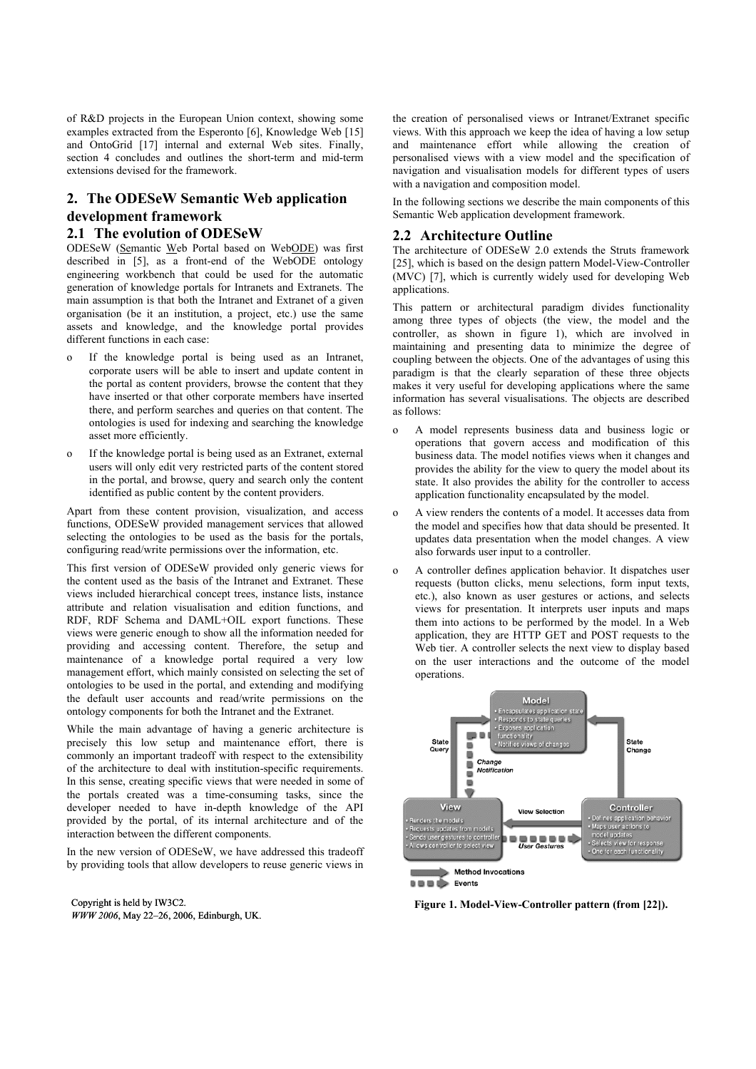of R&D projects in the European Union context, showing some examples extracted from the Esperonto [6], Knowledge Web [15] and OntoGrid [17] internal and external Web sites. Finally, section 4 concludes and outlines the short-term and mid-term extensions devised for the framework.

## **2. The ODESeW Semantic Web application development framework**

## **2.1 The evolution of ODESeW**

ODESeW (Semantic Web Portal based on WebODE) was first described in [5], as a front-end of the WebODE ontology engineering workbench that could be used for the automatic generation of knowledge portals for Intranets and Extranets. The main assumption is that both the Intranet and Extranet of a given organisation (be it an institution, a project, etc.) use the same assets and knowledge, and the knowledge portal provides different functions in each case:

- o If the knowledge portal is being used as an Intranet, corporate users will be able to insert and update content in the portal as content providers, browse the content that they have inserted or that other corporate members have inserted there, and perform searches and queries on that content. The ontologies is used for indexing and searching the knowledge asset more efficiently.
- o If the knowledge portal is being used as an Extranet, external users will only edit very restricted parts of the content stored in the portal, and browse, query and search only the content identified as public content by the content providers.

Apart from these content provision, visualization, and access functions, ODESeW provided management services that allowed selecting the ontologies to be used as the basis for the portals, configuring read/write permissions over the information, etc.

This first version of ODESeW provided only generic views for the content used as the basis of the Intranet and Extranet. These views included hierarchical concept trees, instance lists, instance attribute and relation visualisation and edition functions, and RDF, RDF Schema and DAML+OIL export functions. These views were generic enough to show all the information needed for providing and accessing content. Therefore, the setup and maintenance of a knowledge portal required a very low management effort, which mainly consisted on selecting the set of ontologies to be used in the portal, and extending and modifying the default user accounts and read/write permissions on the ontology components for both the Intranet and the Extranet.

While the main advantage of having a generic architecture is precisely this low setup and maintenance effort, there is commonly an important tradeoff with respect to the extensibility of the architecture to deal with institution-specific requirements. In this sense, creating specific views that were needed in some of the portals created was a time-consuming tasks, since the developer needed to have in-depth knowledge of the API provided by the portal, of its internal architecture and of the interaction between the different components.

In the new version of ODESeW, we have addressed this tradeoff by providing tools that allow developers to reuse generic views in

*WWW 2006*, May 22–26, 2006, Edinburgh, UK. Copyright is held by IW3C2.

the creation of personalised views or Intranet/Extranet specific views. With this approach we keep the idea of having a low setup and maintenance effort while allowing the creation of personalised views with a view model and the specification of navigation and visualisation models for different types of users with a navigation and composition model.

In the following sections we describe the main components of this Semantic Web application development framework.

## **2.2 Architecture Outline**

The architecture of ODESeW 2.0 extends the Struts framework [25], which is based on the design pattern Model-View-Controller (MVC) [7], which is currently widely used for developing Web applications.

This pattern or architectural paradigm divides functionality among three types of objects (the view, the model and the controller, as shown in figure 1), which are involved in maintaining and presenting data to minimize the degree of coupling between the objects. One of the advantages of using this paradigm is that the clearly separation of these three objects makes it very useful for developing applications where the same information has several visualisations. The objects are described as follows:

- o A model represents business data and business logic or operations that govern access and modification of this business data. The model notifies views when it changes and provides the ability for the view to query the model about its state. It also provides the ability for the controller to access application functionality encapsulated by the model.
- o A view renders the contents of a model. It accesses data from the model and specifies how that data should be presented. It updates data presentation when the model changes. A view also forwards user input to a controller.
- o A controller defines application behavior. It dispatches user requests (button clicks, menu selections, form input texts, etc.), also known as user gestures or actions, and selects views for presentation. It interprets user inputs and maps them into actions to be performed by the model. In a Web application, they are HTTP GET and POST requests to the Web tier. A controller selects the next view to display based on the user interactions and the outcome of the model operations.



Figure 1. Model-View-Controller pattern (from [22]).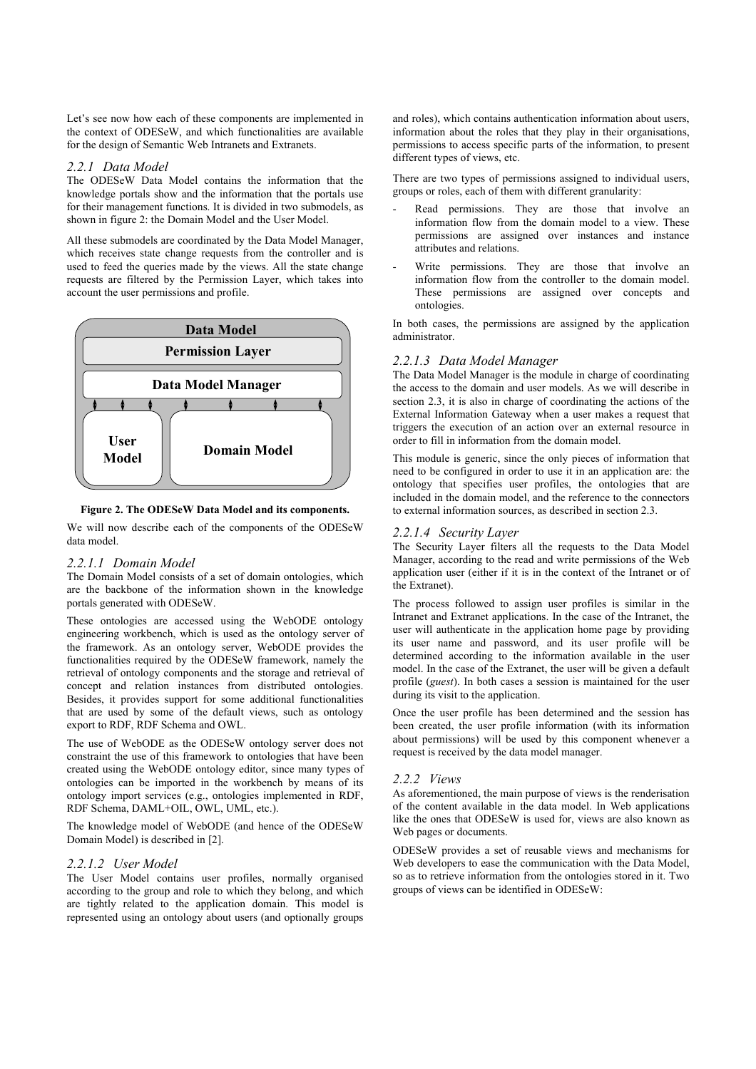Let's see now how each of these components are implemented in the context of ODESeW, and which functionalities are available for the design of Semantic Web Intranets and Extranets.

#### *2.2.1 Data Model*

The ODESeW Data Model contains the information that the knowledge portals show and the information that the portals use for their management functions. It is divided in two submodels, as shown in figure 2: the Domain Model and the User Model.

All these submodels are coordinated by the Data Model Manager, which receives state change requests from the controller and is used to feed the queries made by the views. All the state change requests are filtered by the Permission Layer, which takes into account the user permissions and profile.



#### **Figure 2. The ODESeW Data Model and its components.**

We will now describe each of the components of the ODESeW data model.

#### *2.2.1.1 Domain Model*

The Domain Model consists of a set of domain ontologies, which are the backbone of the information shown in the knowledge portals generated with ODESeW.

These ontologies are accessed using the WebODE ontology engineering workbench, which is used as the ontology server of the framework. As an ontology server, WebODE provides the functionalities required by the ODESeW framework, namely the retrieval of ontology components and the storage and retrieval of concept and relation instances from distributed ontologies. Besides, it provides support for some additional functionalities that are used by some of the default views, such as ontology export to RDF, RDF Schema and OWL.

The use of WebODE as the ODESeW ontology server does not constraint the use of this framework to ontologies that have been created using the WebODE ontology editor, since many types of ontologies can be imported in the workbench by means of its ontology import services (e.g., ontologies implemented in RDF, RDF Schema, DAML+OIL, OWL, UML, etc.).

The knowledge model of WebODE (and hence of the ODESeW Domain Model) is described in [2].

#### *2.2.1.2 User Model*

The User Model contains user profiles, normally organised according to the group and role to which they belong, and which are tightly related to the application domain. This model is represented using an ontology about users (and optionally groups and roles), which contains authentication information about users, information about the roles that they play in their organisations, permissions to access specific parts of the information, to present different types of views, etc.

There are two types of permissions assigned to individual users, groups or roles, each of them with different granularity:

- Read permissions. They are those that involve an information flow from the domain model to a view. These permissions are assigned over instances and instance attributes and relations.
- Write permissions. They are those that involve an information flow from the controller to the domain model. These permissions are assigned over concepts and ontologies.

In both cases, the permissions are assigned by the application administrator.

#### *2.2.1.3 Data Model Manager*

The Data Model Manager is the module in charge of coordinating the access to the domain and user models. As we will describe in section 2.3, it is also in charge of coordinating the actions of the External Information Gateway when a user makes a request that triggers the execution of an action over an external resource in order to fill in information from the domain model.

This module is generic, since the only pieces of information that need to be configured in order to use it in an application are: the ontology that specifies user profiles, the ontologies that are included in the domain model, and the reference to the connectors to external information sources, as described in section 2.3.

#### *2.2.1.4 Security Layer*

The Security Layer filters all the requests to the Data Model Manager, according to the read and write permissions of the Web application user (either if it is in the context of the Intranet or of the Extranet).

The process followed to assign user profiles is similar in the Intranet and Extranet applications. In the case of the Intranet, the user will authenticate in the application home page by providing its user name and password, and its user profile will be determined according to the information available in the user model. In the case of the Extranet, the user will be given a default profile (*guest*). In both cases a session is maintained for the user during its visit to the application.

Once the user profile has been determined and the session has been created, the user profile information (with its information about permissions) will be used by this component whenever a request is received by the data model manager.

#### *2.2.2 Views*

As aforementioned, the main purpose of views is the renderisation of the content available in the data model. In Web applications like the ones that ODESeW is used for, views are also known as Web pages or documents.

ODESeW provides a set of reusable views and mechanisms for Web developers to ease the communication with the Data Model, so as to retrieve information from the ontologies stored in it. Two groups of views can be identified in ODESeW: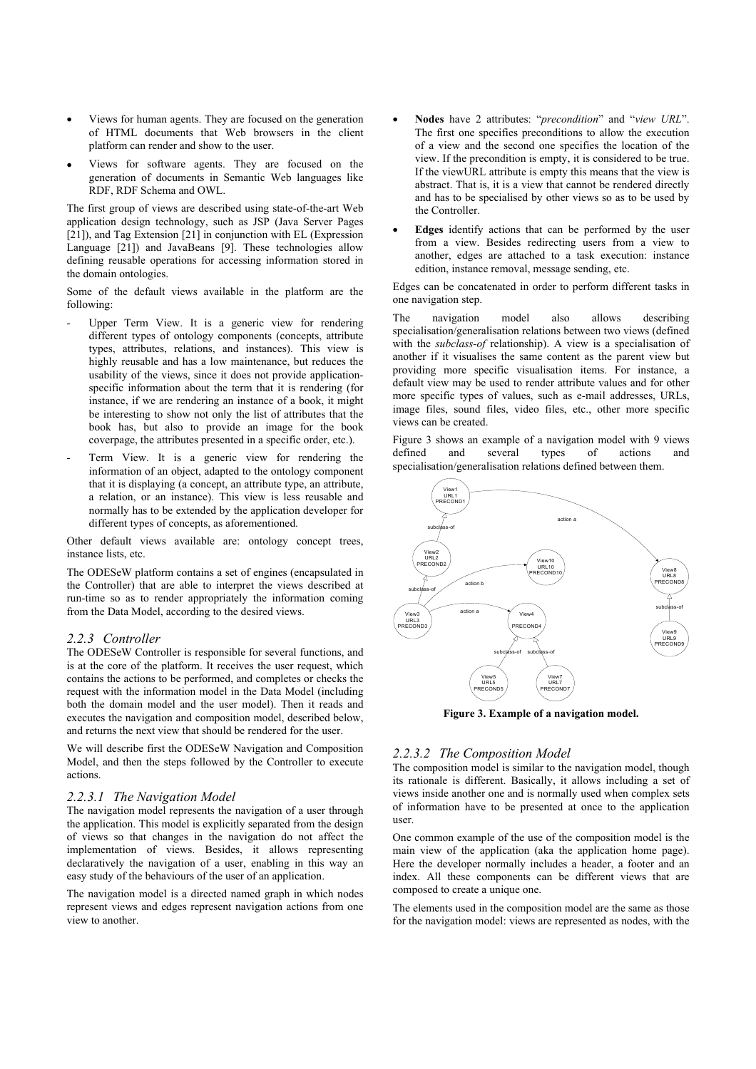- Views for human agents. They are focused on the generation of HTML documents that Web browsers in the client platform can render and show to the user.
- Views for software agents. They are focused on the generation of documents in Semantic Web languages like RDF, RDF Schema and OWL.

The first group of views are described using state-of-the-art Web application design technology, such as JSP (Java Server Pages [21]), and Tag Extension [21] in conjunction with EL (Expression Language [21]) and JavaBeans [9]. These technologies allow defining reusable operations for accessing information stored in the domain ontologies.

Some of the default views available in the platform are the following:

- Upper Term View. It is a generic view for rendering different types of ontology components (concepts, attribute types, attributes, relations, and instances). This view is highly reusable and has a low maintenance, but reduces the usability of the views, since it does not provide applicationspecific information about the term that it is rendering (for instance, if we are rendering an instance of a book, it might be interesting to show not only the list of attributes that the book has, but also to provide an image for the book coverpage, the attributes presented in a specific order, etc.).
- Term View. It is a generic view for rendering the information of an object, adapted to the ontology component that it is displaying (a concept, an attribute type, an attribute, a relation, or an instance). This view is less reusable and normally has to be extended by the application developer for different types of concepts, as aforementioned.

Other default views available are: ontology concept trees, instance lists, etc.

The ODESeW platform contains a set of engines (encapsulated in the Controller) that are able to interpret the views described at run-time so as to render appropriately the information coming from the Data Model, according to the desired views.

#### *2.2.3 Controller*

The ODESeW Controller is responsible for several functions, and is at the core of the platform. It receives the user request, which contains the actions to be performed, and completes or checks the request with the information model in the Data Model (including both the domain model and the user model). Then it reads and executes the navigation and composition model, described below, and returns the next view that should be rendered for the user.

We will describe first the ODESeW Navigation and Composition Model, and then the steps followed by the Controller to execute actions.

#### *2.2.3.1 The Navigation Model*

The navigation model represents the navigation of a user through the application. This model is explicitly separated from the design of views so that changes in the navigation do not affect the implementation of views. Besides, it allows representing declaratively the navigation of a user, enabling in this way an easy study of the behaviours of the user of an application.

The navigation model is a directed named graph in which nodes represent views and edges represent navigation actions from one view to another.

- **Nodes** have 2 attributes: "*precondition*" and "*view URL*". The first one specifies preconditions to allow the execution of a view and the second one specifies the location of the view. If the precondition is empty, it is considered to be true. If the viewURL attribute is empty this means that the view is abstract. That is, it is a view that cannot be rendered directly and has to be specialised by other views so as to be used by the Controller.
- **Edges** identify actions that can be performed by the user from a view. Besides redirecting users from a view to another, edges are attached to a task execution: instance edition, instance removal, message sending, etc.

Edges can be concatenated in order to perform different tasks in one navigation step.

The navigation model also allows describing specialisation/generalisation relations between two views (defined with the *subclass-of* relationship). A view is a specialisation of another if it visualises the same content as the parent view but providing more specific visualisation items. For instance, a default view may be used to render attribute values and for other more specific types of values, such as e-mail addresses, URLs, image files, sound files, video files, etc., other more specific views can be created.

Figure 3 shows an example of a navigation model with 9 views defined and several types of actions and specialisation/generalisation relations defined between them.



**Figure 3. Example of a navigation model.** 

#### *2.2.3.2 The Composition Model*

The composition model is similar to the navigation model, though its rationale is different. Basically, it allows including a set of views inside another one and is normally used when complex sets of information have to be presented at once to the application user.

One common example of the use of the composition model is the main view of the application (aka the application home page). Here the developer normally includes a header, a footer and an index. All these components can be different views that are composed to create a unique one.

The elements used in the composition model are the same as those for the navigation model: views are represented as nodes, with the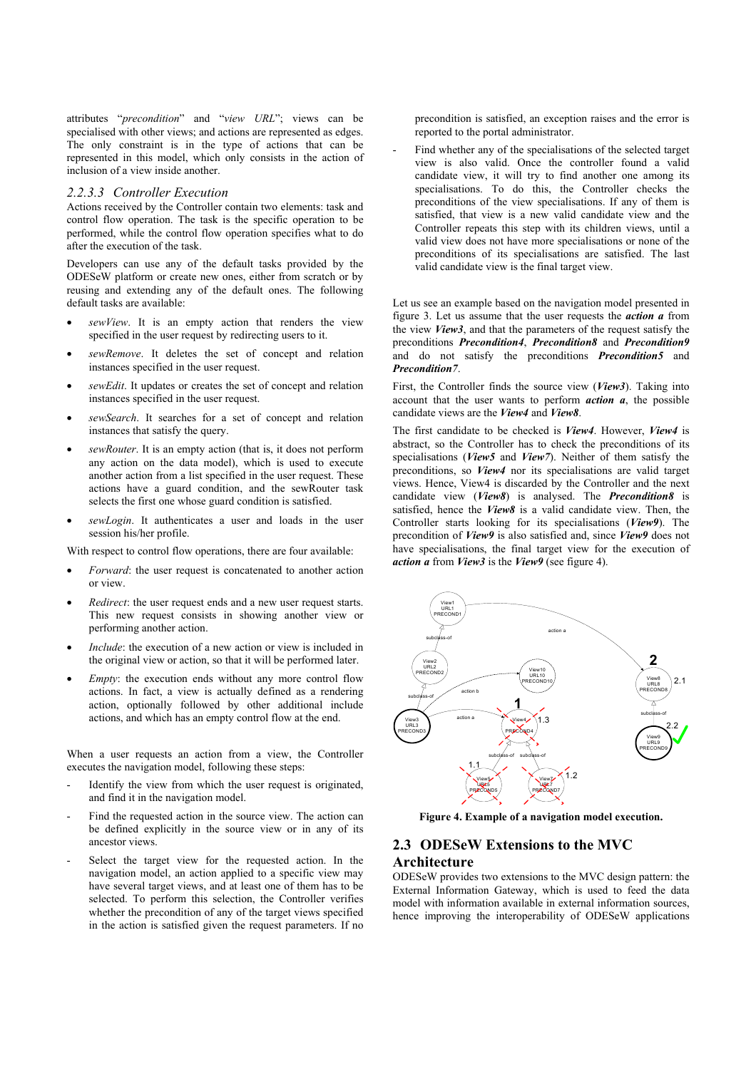attributes "*precondition*" and "*view URL*"; views can be specialised with other views; and actions are represented as edges. The only constraint is in the type of actions that can be represented in this model, which only consists in the action of inclusion of a view inside another.

#### *2.2.3.3 Controller Execution*

Actions received by the Controller contain two elements: task and control flow operation. The task is the specific operation to be performed, while the control flow operation specifies what to do after the execution of the task.

Developers can use any of the default tasks provided by the ODESeW platform or create new ones, either from scratch or by reusing and extending any of the default ones. The following default tasks are available:

- sewView. It is an empty action that renders the view specified in the user request by redirecting users to it.
- *sewRemove*. It deletes the set of concept and relation instances specified in the user request.
- *sewEdit*. It updates or creates the set of concept and relation instances specified in the user request.
- sewSearch. It searches for a set of concept and relation instances that satisfy the query.
- sewRouter. It is an empty action (that is, it does not perform any action on the data model), which is used to execute another action from a list specified in the user request. These actions have a guard condition, and the sewRouter task selects the first one whose guard condition is satisfied.
- sewLogin. It authenticates a user and loads in the user session his/her profile.

With respect to control flow operations, there are four available:

- *Forward*: the user request is concatenated to another action or view.
- *Redirect*: the user request ends and a new user request starts. This new request consists in showing another view or performing another action.
- *Include*: the execution of a new action or view is included in the original view or action, so that it will be performed later.
- *Empty*: the execution ends without any more control flow actions. In fact, a view is actually defined as a rendering action, optionally followed by other additional include actions, and which has an empty control flow at the end.

When a user requests an action from a view, the Controller executes the navigation model, following these steps:

- Identify the view from which the user request is originated, and find it in the navigation model.
- Find the requested action in the source view. The action can be defined explicitly in the source view or in any of its ancestor views.
- Select the target view for the requested action. In the navigation model, an action applied to a specific view may have several target views, and at least one of them has to be selected. To perform this selection, the Controller verifies whether the precondition of any of the target views specified in the action is satisfied given the request parameters. If no

precondition is satisfied, an exception raises and the error is reported to the portal administrator.

Find whether any of the specialisations of the selected target view is also valid. Once the controller found a valid candidate view, it will try to find another one among its specialisations. To do this, the Controller checks the preconditions of the view specialisations. If any of them is satisfied, that view is a new valid candidate view and the Controller repeats this step with its children views, until a valid view does not have more specialisations or none of the preconditions of its specialisations are satisfied. The last valid candidate view is the final target view.

Let us see an example based on the navigation model presented in figure 3. Let us assume that the user requests the *action a* from the view *View3*, and that the parameters of the request satisfy the preconditions *Precondition4*, *Precondition8* and *Precondition9* and do not satisfy the preconditions *Precondition5* and *Precondition7*.

First, the Controller finds the source view (*View3*). Taking into account that the user wants to perform *action a*, the possible candidate views are the *View4* and *View8*.

The first candidate to be checked is *View4*. However, *View4* is abstract, so the Controller has to check the preconditions of its specialisations (*View5* and *View7*). Neither of them satisfy the preconditions, so *View4* nor its specialisations are valid target views. Hence, View4 is discarded by the Controller and the next candidate view (*View8*) is analysed. The *Precondition8* is satisfied, hence the *View8* is a valid candidate view. Then, the Controller starts looking for its specialisations (*View9*). The precondition of *View9* is also satisfied and, since *View9* does not have specialisations, the final target view for the execution of *action a* from *View3* is the *View9* (see figure 4).



**Figure 4. Example of a navigation model execution.** 

## **2.3 ODESeW Extensions to the MVC Architecture**

ODESeW provides two extensions to the MVC design pattern: the External Information Gateway, which is used to feed the data model with information available in external information sources, hence improving the interoperability of ODESeW applications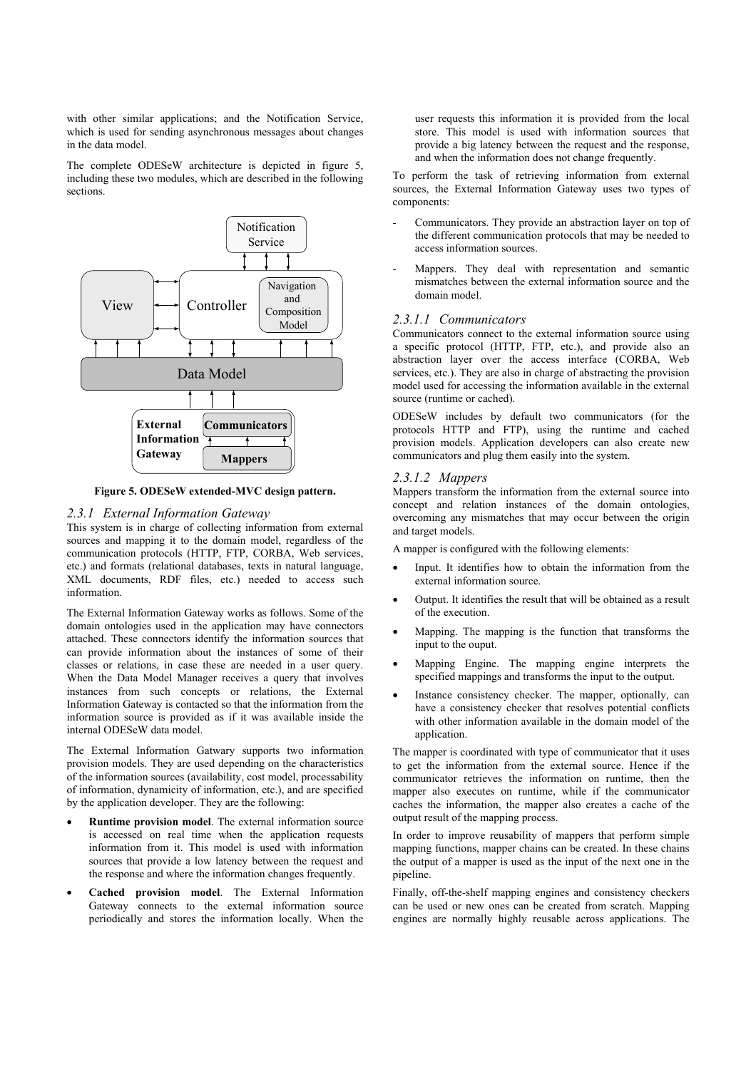with other similar applications; and the Notification Service, which is used for sending asynchronous messages about changes in the data model.

The complete ODESeW architecture is depicted in figure 5, including these two modules, which are described in the following sections.



**Figure 5. ODESeW extended-MVC design pattern.** 

#### *2.3.1 External Information Gateway*

This system is in charge of collecting information from external sources and mapping it to the domain model, regardless of the communication protocols (HTTP, FTP, CORBA, Web services, etc.) and formats (relational databases, texts in natural language, XML documents, RDF files, etc.) needed to access such information.

The External Information Gateway works as follows. Some of the domain ontologies used in the application may have connectors attached. These connectors identify the information sources that can provide information about the instances of some of their classes or relations, in case these are needed in a user query. When the Data Model Manager receives a query that involves instances from such concepts or relations, the External Information Gateway is contacted so that the information from the information source is provided as if it was available inside the internal ODESeW data model.

The External Information Gatwary supports two information provision models. They are used depending on the characteristics of the information sources (availability, cost model, processability of information, dynamicity of information, etc.), and are specified by the application developer. They are the following:

- **Runtime provision model**. The external information source is accessed on real time when the application requests information from it. This model is used with information sources that provide a low latency between the request and the response and where the information changes frequently.
- **Cached provision model**. The External Information Gateway connects to the external information source periodically and stores the information locally. When the

user requests this information it is provided from the local store. This model is used with information sources that provide a big latency between the request and the response, and when the information does not change frequently.

To perform the task of retrieving information from external sources, the External Information Gateway uses two types of components:

- Communicators. They provide an abstraction layer on top of the different communication protocols that may be needed to access information sources.
- Mappers. They deal with representation and semantic mismatches between the external information source and the domain model.

## *2.3.1.1 Communicators*

Communicators connect to the external information source using a specific protocol (HTTP, FTP, etc.), and provide also an abstraction layer over the access interface (CORBA, Web services, etc.). They are also in charge of abstracting the provision model used for accessing the information available in the external source (runtime or cached).

ODESeW includes by default two communicators (for the protocols HTTP and FTP), using the runtime and cached provision models. Application developers can also create new communicators and plug them easily into the system.

#### *2.3.1.2 Mappers*

Mappers transform the information from the external source into concept and relation instances of the domain ontologies, overcoming any mismatches that may occur between the origin and target models.

A mapper is configured with the following elements:

- Input. It identifies how to obtain the information from the external information source.
- Output. It identifies the result that will be obtained as a result of the execution.
- Mapping. The mapping is the function that transforms the input to the ouput.
- Mapping Engine. The mapping engine interprets the specified mappings and transforms the input to the output.
- Instance consistency checker. The mapper, optionally, can have a consistency checker that resolves potential conflicts with other information available in the domain model of the application.

The mapper is coordinated with type of communicator that it uses to get the information from the external source. Hence if the communicator retrieves the information on runtime, then the mapper also executes on runtime, while if the communicator caches the information, the mapper also creates a cache of the output result of the mapping process.

In order to improve reusability of mappers that perform simple mapping functions, mapper chains can be created. In these chains the output of a mapper is used as the input of the next one in the pipeline.

Finally, off-the-shelf mapping engines and consistency checkers can be used or new ones can be created from scratch. Mapping engines are normally highly reusable across applications. The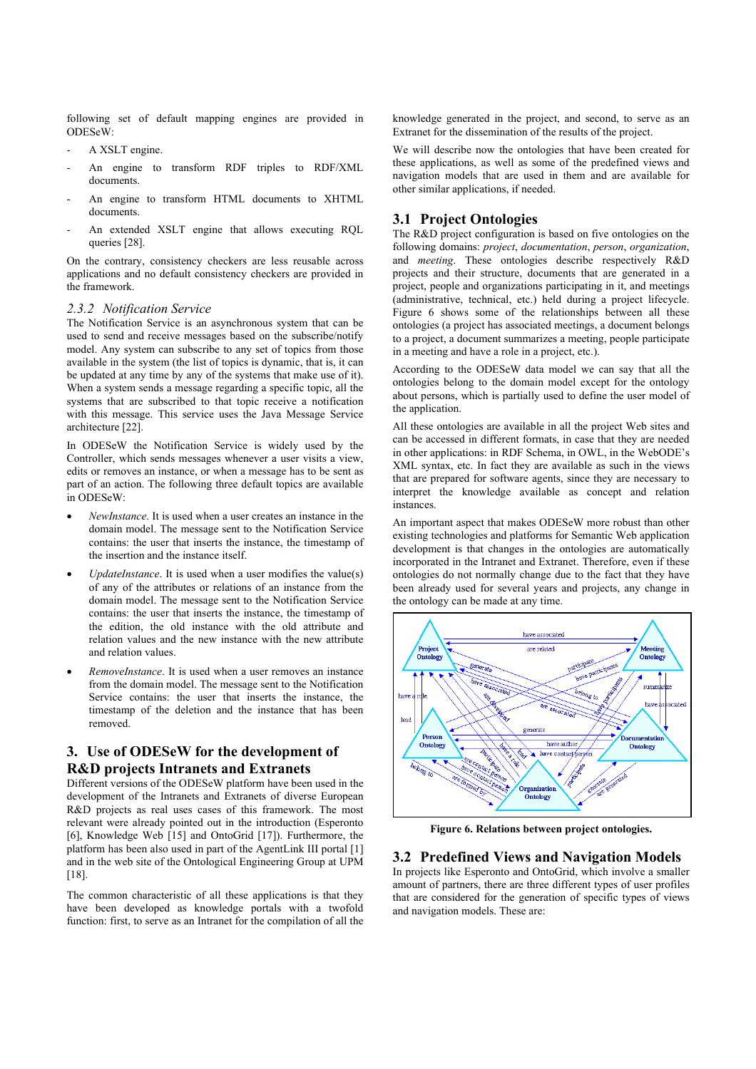following set of default mapping engines are provided in ODESeW:

- A XSLT engine.
- An engine to transform RDF triples to RDF/XML documents.
- An engine to transform HTML documents to XHTML documents.
- An extended XSLT engine that allows executing RQL queries [28].

On the contrary, consistency checkers are less reusable across applications and no default consistency checkers are provided in the framework.

#### *2.3.2 Notification Service*

The Notification Service is an asynchronous system that can be used to send and receive messages based on the subscribe/notify model. Any system can subscribe to any set of topics from those available in the system (the list of topics is dynamic, that is, it can be updated at any time by any of the systems that make use of it). When a system sends a message regarding a specific topic, all the systems that are subscribed to that topic receive a notification with this message. This service uses the Java Message Service architecture [22].

In ODESeW the Notification Service is widely used by the Controller, which sends messages whenever a user visits a view, edits or removes an instance, or when a message has to be sent as part of an action. The following three default topics are available in ODESeW:

- *NewInstance*. It is used when a user creates an instance in the domain model. The message sent to the Notification Service contains: the user that inserts the instance, the timestamp of the insertion and the instance itself.
- *UpdateInstance*. It is used when a user modifies the value(s) of any of the attributes or relations of an instance from the domain model. The message sent to the Notification Service contains: the user that inserts the instance, the timestamp of the edition, the old instance with the old attribute and relation values and the new instance with the new attribute and relation values.
- *RemoveInstance*. It is used when a user removes an instance from the domain model. The message sent to the Notification Service contains: the user that inserts the instance, the timestamp of the deletion and the instance that has been removed.

## **3. Use of ODESeW for the development of R&D projects Intranets and Extranets**

Different versions of the ODESeW platform have been used in the development of the Intranets and Extranets of diverse European R&D projects as real uses cases of this framework. The most relevant were already pointed out in the introduction (Esperonto [6], Knowledge Web [15] and OntoGrid [17]). Furthermore, the platform has been also used in part of the AgentLink III portal [1] and in the web site of the Ontological Engineering Group at UPM [18].

The common characteristic of all these applications is that they have been developed as knowledge portals with a twofold function: first, to serve as an Intranet for the compilation of all the knowledge generated in the project, and second, to serve as an Extranet for the dissemination of the results of the project.

We will describe now the ontologies that have been created for these applications, as well as some of the predefined views and navigation models that are used in them and are available for other similar applications, if needed.

#### **3.1 Project Ontologies**

The R&D project configuration is based on five ontologies on the following domains: *project*, *documentation*, *person*, *organization*, and *meeting*. These ontologies describe respectively R&D projects and their structure, documents that are generated in a project, people and organizations participating in it, and meetings (administrative, technical, etc.) held during a project lifecycle. Figure 6 shows some of the relationships between all these ontologies (a project has associated meetings, a document belongs to a project, a document summarizes a meeting, people participate in a meeting and have a role in a project, etc.).

According to the ODESeW data model we can say that all the ontologies belong to the domain model except for the ontology about persons, which is partially used to define the user model of the application.

All these ontologies are available in all the project Web sites and can be accessed in different formats, in case that they are needed in other applications: in RDF Schema, in OWL, in the WebODE's XML syntax, etc. In fact they are available as such in the views that are prepared for software agents, since they are necessary to interpret the knowledge available as concept and relation instances.

An important aspect that makes ODESeW more robust than other existing technologies and platforms for Semantic Web application development is that changes in the ontologies are automatically incorporated in the Intranet and Extranet. Therefore, even if these ontologies do not normally change due to the fact that they have been already used for several years and projects, any change in the ontology can be made at any time.



**Figure 6. Relations between project ontologies.** 

#### **3.2 Predefined Views and Navigation Models**

In projects like Esperonto and OntoGrid, which involve a smaller amount of partners, there are three different types of user profiles that are considered for the generation of specific types of views and navigation models. These are: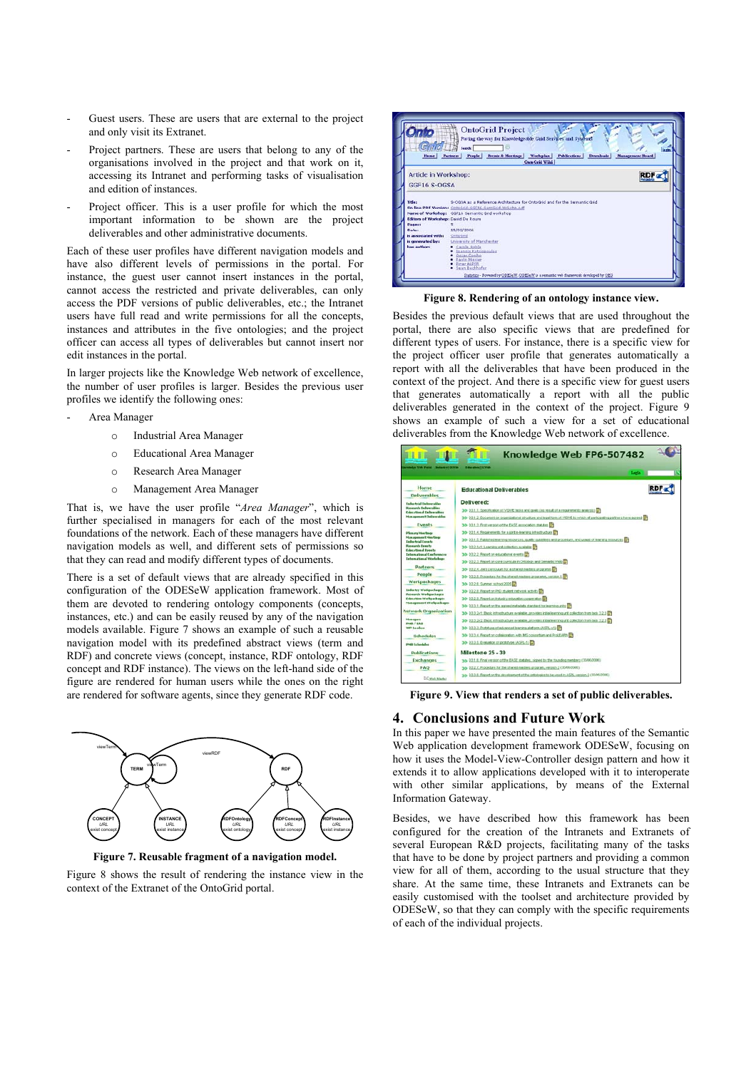- Guest users. These are users that are external to the project and only visit its Extranet.
- Project partners. These are users that belong to any of the organisations involved in the project and that work on it, accessing its Intranet and performing tasks of visualisation and edition of instances.
- Project officer. This is a user profile for which the most important information to be shown are the project deliverables and other administrative documents.

Each of these user profiles have different navigation models and have also different levels of permissions in the portal. For instance, the guest user cannot insert instances in the portal, cannot access the restricted and private deliverables, can only access the PDF versions of public deliverables, etc.; the Intranet users have full read and write permissions for all the concepts, instances and attributes in the five ontologies; and the project officer can access all types of deliverables but cannot insert nor edit instances in the portal.

In larger projects like the Knowledge Web network of excellence, the number of user profiles is larger. Besides the previous user profiles we identify the following ones:

- Area Manager
	- o Industrial Area Manager
	- o Educational Area Manager
	- o Research Area Manager
	- o Management Area Manager

That is, we have the user profile "*Area Manager*", which is further specialised in managers for each of the most relevant foundations of the network. Each of these managers have different navigation models as well, and different sets of permissions so that they can read and modify different types of documents.

There is a set of default views that are already specified in this configuration of the ODESeW application framework. Most of them are devoted to rendering ontology components (concepts, instances, etc.) and can be easily reused by any of the navigation models available. Figure 7 shows an example of such a reusable navigation model with its predefined abstract views (term and RDF) and concrete views (concept, instance, RDF ontology, RDF concept and RDF instance). The views on the left-hand side of the figure are rendered for human users while the ones on the right are rendered for software agents, since they generate RDF code.



**Figure 7. Reusable fragment of a navigation model.** 

Figure 8 shows the result of rendering the instance view in the context of the Extranet of the OntoGrid portal.



**Figure 8. Rendering of an ontology instance view.** 

Besides the previous default views that are used throughout the portal, there are also specific views that are predefined for different types of users. For instance, there is a specific view for the project officer user profile that generates automatically a report with all the deliverables that have been produced in the context of the project. And there is a specific view for guest users that generates automatically a report with all the public deliverables generated in the context of the project. Figure 9 shows an example of such a view for a set of educational deliverables from the Knowledge Web network of excellence.

|                                                                                                                       | Knowledge Web FP6-507482                                                                                               |
|-----------------------------------------------------------------------------------------------------------------------|------------------------------------------------------------------------------------------------------------------------|
| inter With Portal Baltimore SOVIA                                                                                     | <b><i>Education Change</i></b><br>Lagin                                                                                |
| Home<br><b>Deliverables</b>                                                                                           | <b>Educational Deliverables</b>                                                                                        |
| Industrial Deliverables<br>Research Deliverables<br><b>Educational Deliverables</b><br><b>Hanagement Deliverables</b> | Delivered:                                                                                                             |
|                                                                                                                       | 33-03.1.1. Specification of VISME tests and goals (as result of a requirements analysis) CT                            |
|                                                                                                                       | 33-03.1.2 Cocument on programmons structure and legal form of VISME to which all participating partners have agreed to |
| <b>Events</b>                                                                                                         | 33 0313 Fest verson of the EASE association statutes                                                                   |
| <b>Plenary Heatings</b><br><b>Management Meetings</b><br><b>Industrial Events</b>                                     | 33-03.1-4 Requirements for a joint e-learning inhardsucture and                                                        |
|                                                                                                                       | 33-03.1.5 Published learning resources, qualify publishes and procedure, and usage of learning resources and           |
| <b>Research Events</b>                                                                                                | 33-03.2 full Learning unit collection available ET                                                                     |
| <b>Educational Events</b><br>International Conferences<br>International Workshape                                     | 03.2.2: Report on educational events and<br>35 <sub>0</sub>                                                            |
|                                                                                                                       | 33-03.2.3: Report on core curricula in Oritology and Semantic Web CT                                                   |
| <b>Partners</b>                                                                                                       | 33-03.2.4; Joint curriculum for a shared masters programm                                                              |
| People                                                                                                                | 33 03.2.5 Procedure for the strated masters programm, version 1                                                        |
| Workpackages                                                                                                          | 33 03.2.6 Summer school 2005                                                                                           |
| <b>Industry Workpackages</b>                                                                                          | 33-12.2.8 Report on PhD student network activity                                                                       |
| Rasearth Workpackages<br><b>Education Workpackages</b>                                                                | 33-03.2 B Report on Industry education cooperation                                                                     |
| <b>Management Workpackages</b>                                                                                        | 33 03.3 f. Report on the agreed metadata standard for learning units (2)                                               |
| Network Organization                                                                                                  | 33-03.3.2-1. Basic infrastructure available, provides initial learning unit collection from task 3.2.3 (21)            |
| <b>Nanagers</b>                                                                                                       | 33 03.3.2/2 Basic intrastructure available, provides initial learning unit collection from task 3.2.3                  |
| <b>PHIL / EAR</b><br>WP Leaders                                                                                       | 33-03.3.3 Prototype of advanced learning platform (ASPL-x1)                                                            |
| <b>Schedules</b>                                                                                                      | 33-03.3.4 Report on collaboration with MS consortium and ProLEARN ET                                                   |
| Pres Schedules                                                                                                        | 33 013 f. Evaluation of prototype (ASPL-1)                                                                             |
| <b>Publications</b>                                                                                                   | Milestone 25 - 30                                                                                                      |
| <b>Exchanges</b>                                                                                                      | S/S 02.1 E. Final version of the EASE stabilist, signed by the francisca members (30/00/2000)                          |
| <b>FAO</b>                                                                                                            | 5% D3.27. Procedure for the shared masters program, version.2 (30/06/2006).                                            |
|                                                                                                                       |                                                                                                                        |
| <b>C.C.Wab Madei</b>                                                                                                  | 55 03.3 6 Report on the development of the ortologies to be used in ASPL version 2 (30/06/2006).                       |

**Figure 9. View that renders a set of public deliverables.** 

#### **4. Conclusions and Future Work**

In this paper we have presented the main features of the Semantic Web application development framework ODESeW, focusing on how it uses the Model-View-Controller design pattern and how it extends it to allow applications developed with it to interoperate with other similar applications, by means of the External Information Gateway.

Besides, we have described how this framework has been configured for the creation of the Intranets and Extranets of several European R&D projects, facilitating many of the tasks that have to be done by project partners and providing a common view for all of them, according to the usual structure that they share. At the same time, these Intranets and Extranets can be easily customised with the toolset and architecture provided by ODESeW, so that they can comply with the specific requirements of each of the individual projects.